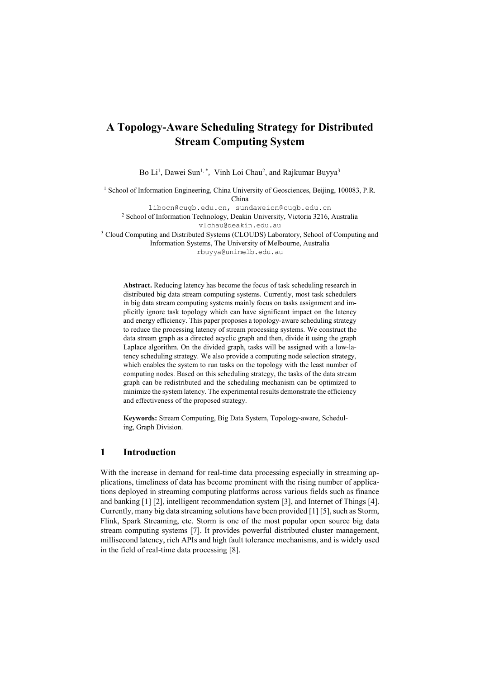# **A Topology-Aware Scheduling Strategy for Distributed Stream Computing System**

Bo Li<sup>1</sup>, Dawei Sun<sup>1,\*</sup>, Vinh Loi Chau<sup>2</sup>, and Rajkumar Buyya<sup>3</sup>

<sup>1</sup> School of Information Engineering, China University of Geosciences, Beijing, 100083, P.R. China

[libocn@cugb.edu.cn,](mailto:libocn@cugb.edu.cn) [sundaweicn@cugb.edu.cn](mailto:sundaweicn@cugb.edu.cn)

<sup>2</sup> School of Information Technology, Deakin University, Victoria 3216, Australia

[vlchau@deakin.edu.au](mailto:vlchau@deakin.edu.au)

<sup>3</sup> Cloud Computing and Distributed Systems (CLOUDS) Laboratory, School of Computing and Information Systems, The University of Melbourne, Australia

[rbuyya@unimelb.edu.au](mailto:rbuyya@unimelb.edu.au)

**Abstract.** Reducing latency has become the focus of task scheduling research in distributed big data stream computing systems. Currently, most task schedulers in big data stream computing systems mainly focus on tasks assignment and implicitly ignore task topology which can have significant impact on the latency and energy efficiency. This paper proposes a topology-aware scheduling strategy to reduce the processing latency of stream processing systems. We construct the data stream graph as a directed acyclic graph and then, divide it using the graph Laplace algorithm. On the divided graph, tasks will be assigned with a low-latency scheduling strategy. We also provide a computing node selection strategy, which enables the system to run tasks on the topology with the least number of computing nodes. Based on this scheduling strategy, the tasks of the data stream graph can be redistributed and the scheduling mechanism can be optimized to minimize the system latency. The experimental results demonstrate the efficiency and effectiveness of the proposed strategy.

**Keywords:** Stream Computing, Big Data System, Topology-aware, Scheduling, Graph Division.

# **1 Introduction**

With the increase in demand for real-time data processing especially in streaming applications, timeliness of data has become prominent with the rising number of applications deployed in streaming computing platforms across various fields such as finance and banking [1] [2], intelligent recommendation system [3], and Internet of Things [4]. Currently, many big data streaming solutions have been provided [1] [5], such as Storm, Flink, Spark Streaming, etc. Storm is one of the most popular open source big data stream computing systems [7]. It provides powerful distributed cluster management, millisecond latency, rich APIs and high fault tolerance mechanisms, and is widely used in the field of real-time data processing [8].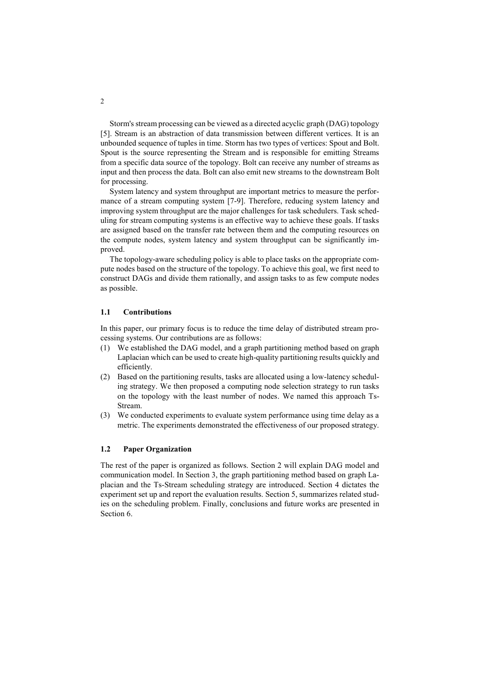Storm's stream processing can be viewed as a directed acyclic graph (DAG) topology [5]. Stream is an abstraction of data transmission between different vertices. It is an unbounded sequence of tuples in time. Storm has two types of vertices: Spout and Bolt. Spout is the source representing the Stream and is responsible for emitting Streams from a specific data source of the topology. Bolt can receive any number of streams as input and then process the data. Bolt can also emit new streams to the downstream Bolt for processing.

System latency and system throughput are important metrics to measure the performance of a stream computing system [7-9]. Therefore, reducing system latency and improving system throughput are the major challenges for task schedulers. Task scheduling for stream computing systems is an effective way to achieve these goals. If tasks are assigned based on the transfer rate between them and the computing resources on the compute nodes, system latency and system throughput can be significantly improved.

The topology-aware scheduling policy is able to place tasks on the appropriate compute nodes based on the structure of the topology. To achieve this goal, we first need to construct DAGs and divide them rationally, and assign tasks to as few compute nodes as possible.

#### **1.1 Contributions**

In this paper, our primary focus is to reduce the time delay of distributed stream processing systems. Our contributions are as follows:

- (1) We established the DAG model, and a graph partitioning method based on graph Laplacian which can be used to create high-quality partitioning results quickly and efficiently.
- (2) Based on the partitioning results, tasks are allocated using a low-latency scheduling strategy. We then proposed a computing node selection strategy to run tasks on the topology with the least number of nodes. We named this approach Ts-Stream.
- (3) We conducted experiments to evaluate system performance using time delay as a metric. The experiments demonstrated the effectiveness of our proposed strategy.

#### **1.2 Paper Organization**

The rest of the paper is organized as follows. Section 2 will explain DAG model and communication model. In Section 3, the graph partitioning method based on graph Laplacian and the Ts-Stream scheduling strategy are introduced. Section 4 dictates the experiment set up and report the evaluation results. Section 5, summarizes related studies on the scheduling problem. Finally, conclusions and future works are presented in Section 6.

2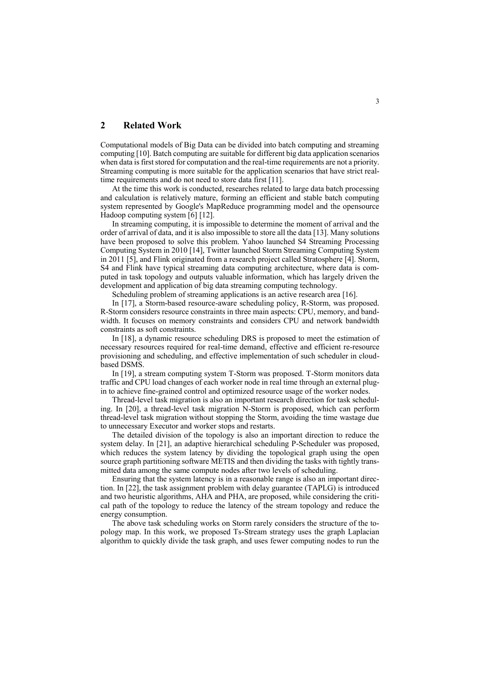# **2 Related Work**

Computational models of Big Data can be divided into batch computing and streaming computing [10]. Batch computing are suitable for different big data application scenarios when data is first stored for computation and the real-time requirements are not a priority. Streaming computing is more suitable for the application scenarios that have strict realtime requirements and do not need to store data first [11].

At the time this work is conducted, researches related to large data batch processing and calculation is relatively mature, forming an efficient and stable batch computing system represented by Google's MapReduce programming model and the opensource Hadoop computing system [6] [12].

In streaming computing, it is impossible to determine the moment of arrival and the order of arrival of data, and it is also impossible to store all the data [13]. Many solutions have been proposed to solve this problem. Yahoo launched S4 Streaming Processing Computing System in 2010 [14], Twitter launched Storm Streaming Computing System in 2011 [5], and Flink originated from a research project called Stratosphere [4]. Storm, S4 and Flink have typical streaming data computing architecture, where data is computed in task topology and outputs valuable information, which has largely driven the development and application of big data streaming computing technology.

Scheduling problem of streaming applications is an active research area [16].

In [17], a Storm-based resource-aware scheduling policy, R-Storm, was proposed. R-Storm considers resource constraints in three main aspects: CPU, memory, and bandwidth. It focuses on memory constraints and considers CPU and network bandwidth constraints as soft constraints.

In [18], a dynamic resource scheduling DRS is proposed to meet the estimation of necessary resources required for real-time demand, effective and efficient re-resource provisioning and scheduling, and effective implementation of such scheduler in cloudbased DSMS.

In [19], a stream computing system T-Storm was proposed. T-Storm monitors data traffic and CPU load changes of each worker node in real time through an external plugin to achieve fine-grained control and optimized resource usage of the worker nodes.

Thread-level task migration is also an important research direction for task scheduling. In [20], a thread-level task migration N-Storm is proposed, which can perform thread-level task migration without stopping the Storm, avoiding the time wastage due to unnecessary Executor and worker stops and restarts.

The detailed division of the topology is also an important direction to reduce the system delay. In [21], an adaptive hierarchical scheduling P-Scheduler was proposed, which reduces the system latency by dividing the topological graph using the open source graph partitioning software METIS and then dividing the tasks with tightly transmitted data among the same compute nodes after two levels of scheduling.

Ensuring that the system latency is in a reasonable range is also an important direction. In [22], the task assignment problem with delay guarantee (TAPLG) is introduced and two heuristic algorithms, AHA and PHA, are proposed, while considering the critical path of the topology to reduce the latency of the stream topology and reduce the energy consumption.

The above task scheduling works on Storm rarely considers the structure of the topology map. In this work, we proposed Ts-Stream strategy uses the graph Laplacian algorithm to quickly divide the task graph, and uses fewer computing nodes to run the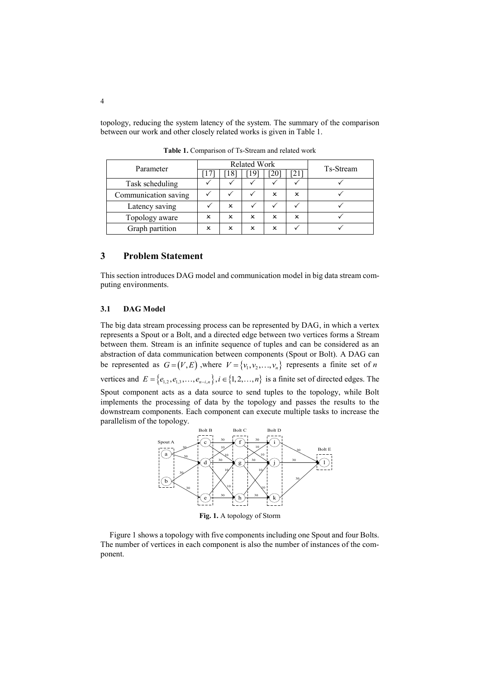topology, reducing the system latency of the system. The summary of the comparison between our work and other closely related works is given in Table 1.

| Parameter            | <b>Related Work</b> |   |    |   |   |           |
|----------------------|---------------------|---|----|---|---|-----------|
|                      |                     |   | 19 |   |   | Ts-Stream |
| Task scheduling      |                     |   |    |   |   |           |
| Communication saving |                     |   |    | x | x |           |
| Latency saving       |                     | x |    |   |   |           |
| Topology aware       | ×                   | x | x  | × | x |           |
| Graph partition      | x                   | x | x  | × |   |           |

**Table 1.** Comparison of Ts-Stream and related work

## **3 Problem Statement**

This section introduces DAG model and communication model in big data stream computing environments.

#### **3.1 DAG Model**

The big data stream processing process can be represented by DAG, in which a vertex represents a Spout or a Bolt, and a directed edge between two vertices forms a Stream between them. Stream is an infinite sequence of tuples and can be considered as an abstraction of data communication between components (Spout or Bolt). A DAG can be represented as  $G = (V, E)$ , where  $V = \{v_1, v_2, ..., v_n\}$  represents a finite set of *n* vertices and  $E = \{e_{1,2}, e_{1,3},...,e_{n-i,n}\}\$ ,  $i \in \{1,2,...,n\}$  is a finite set of directed edges. The Spout component acts as a data source to send tuples to the topology, while Bolt implements the processing of data by the topology and passes the results to the downstream components. Each component can execute multiple tasks to increase the parallelism of the topology.



**Fig. 1.** A topology of Storm

Figure 1 shows a topology with five components including one Spout and four Bolts. The number of vertices in each component is also the number of instances of the component.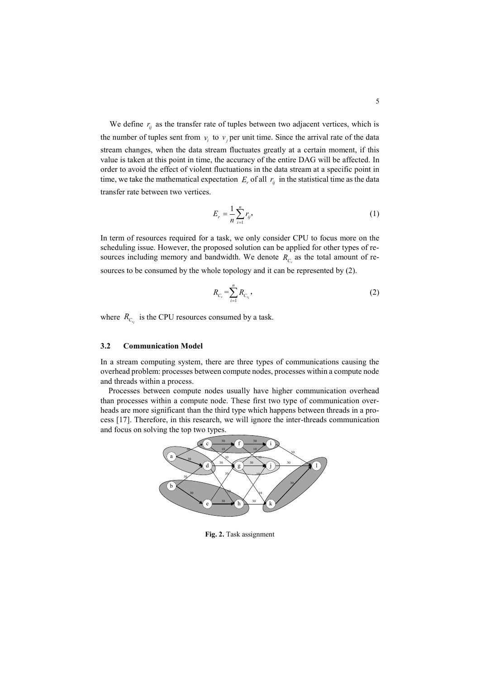We define  $r_{ij}$  as the transfer rate of tuples between two adjacent vertices, which is the number of tuples sent from  $v_i$  to  $v_j$  per unit time. Since the arrival rate of the data stream changes, when the data stream fluctuates greatly at a certain moment, if this value is taken at this point in time, the accuracy of the entire DAG will be affected. In order to avoid the effect of violent fluctuations in the data stream at a specific point in time, we take the mathematical expectation  $E_r$  of all  $r_{ij}$  in the statistical time as the data transfer rate between two vertices.

$$
E_r = \frac{1}{n} \sum_{i=1}^n r_{ij},
$$
 (1)

In term of resources required for a task, we only consider CPU to focus more on the scheduling issue. However, the proposed solution can be applied for other types of resources including memory and bandwidth. We denote  $R_{C_v}$  as the total amount of re-

sources to be consumed by the whole topology and it can be represented by (2).

$$
R_{C_v} = \sum_{i=1}^n R_{C_{v_i}},\tag{2}
$$

where  $R_{C_{\nu_i}}$  is the CPU resources consumed by a task.

#### **3.2 Communication Model**

In a stream computing system, there are three types of communications causing the overhead problem: processes between compute nodes, processes within a compute node and threads within a process.

Processes between compute nodes usually have higher communication overhead than processes within a compute node. These first two type of communication overheads are more significant than the third type which happens between threads in a process [17]. Therefore, in this research, we will ignore the inter-threads communication and focus on solving the top two types.



**Fig. 2.** Task assignment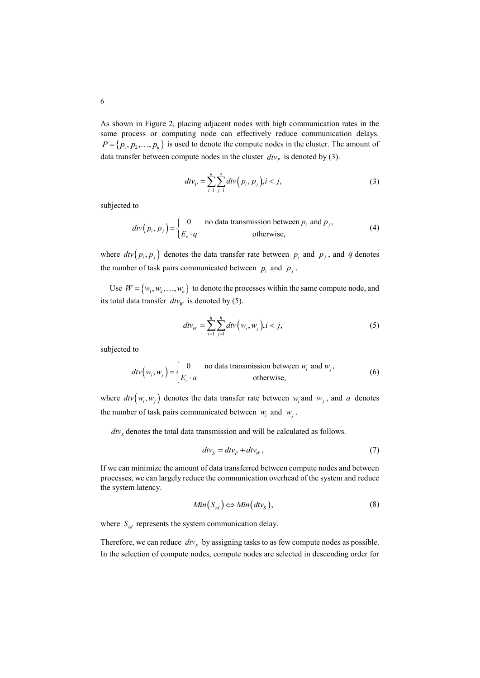As shown in Figure 2, placing adjacent nodes with high communication rates in the same process or computing node can effectively reduce communication delays.  $P = \{p_1, p_2, \ldots, p_u\}$  is used to denote the compute nodes in the cluster. The amount of data transfer between compute nodes in the cluster  $d\mathbf{v}_p$  is denoted by (3).

$$
dt v_p = \sum_{i=1}^{u} \sum_{j=1}^{u} dt v (p_i, p_j), i < j,
$$
 (3)

subjected to

to  
\n
$$
dv(p_i, p_j) =\begin{cases}\n0 & \text{no data transmission between } p_i \text{ and } p_j, \\
E_r \cdot q & \text{otherwise,} \n\end{cases}
$$
\n(4)

where  $div(p_i, p_j)$  denotes the data transfer rate between  $p_i$  and  $p_j$ , and q denotes the number of task pairs communicated between  $p_i$  and  $p_j$ .

Use  $W = \{w_1, w_2, \dots, w_h\}$  to denote the processes within the same compute node, and its total data transfer  $dt v_w$  is denoted by (5).

$$
dt v_{w} = \sum_{i=1}^{h} \sum_{j=1}^{h} dt v(w_{i}, w_{j}), i < j,
$$
\n(5)

subjected to

to  
\n
$$
dv(w_i, w_j) =\begin{cases}\n0 & \text{no data transmission between } w_i \text{ and } w_j, \\
E_r \cdot a & \text{otherwise,} \n\end{cases}
$$
\n(6)

where  $div(w_i, w_j)$  denotes the data transfer rate between  $w_i$  and  $w_j$ , and a denotes the number of task pairs communicated between  $w_i$  and  $w_j$ .

 $dv_s$  denotes the total data transmission and will be calculated as follows.

$$
dt v_s = dt v_p + dt v_w, \qquad (7)
$$

If we can minimize the amount of data transferred between compute nodes and between processes, we can largely reduce the communication overhead of the system and reduce the system latency.

$$
Min(S_{cd}) \Leftrightarrow Min(dtv_s), \qquad (8)
$$

where  $S_{cd}$  represents the system communication delay.

Therefore, we can reduce  $\frac{dv_p}{v}$  by assigning tasks to as few compute nodes as possible. In the selection of compute nodes, compute nodes are selected in descending order for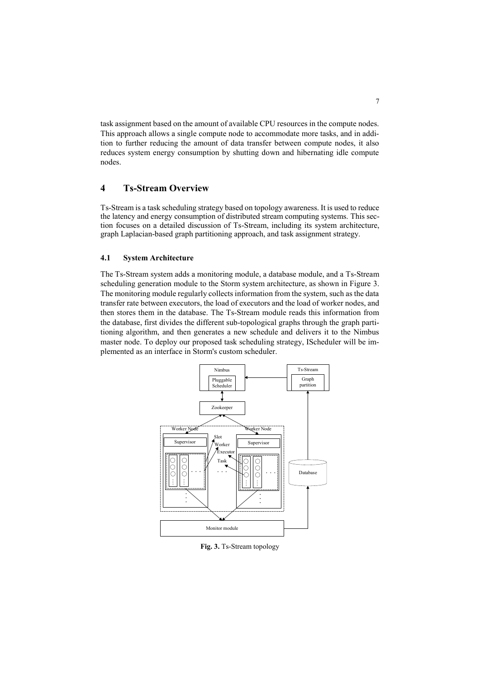task assignment based on the amount of available CPU resources in the compute nodes. This approach allows a single compute node to accommodate more tasks, and in addition to further reducing the amount of data transfer between compute nodes, it also reduces system energy consumption by shutting down and hibernating idle compute nodes.

# **4 Ts-Stream Overview**

Ts-Stream is a task scheduling strategy based on topology awareness. It is used to reduce the latency and energy consumption of distributed stream computing systems. This section focuses on a detailed discussion of Ts-Stream, including its system architecture, graph Laplacian-based graph partitioning approach, and task assignment strategy.

#### **4.1 System Architecture**

The Ts-Stream system adds a monitoring module, a database module, and a Ts-Stream scheduling generation module to the Storm system architecture, as shown in Figure 3. The monitoring module regularly collects information from the system, such as the data transfer rate between executors, the load of executors and the load of worker nodes, and then stores them in the database. The Ts-Stream module reads this information from the database, first divides the different sub-topological graphs through the graph partitioning algorithm, and then generates a new schedule and delivers it to the Nimbus master node. To deploy our proposed task scheduling strategy, IScheduler will be implemented as an interface in Storm's custom scheduler.



**Fig. 3.** Ts-Stream topology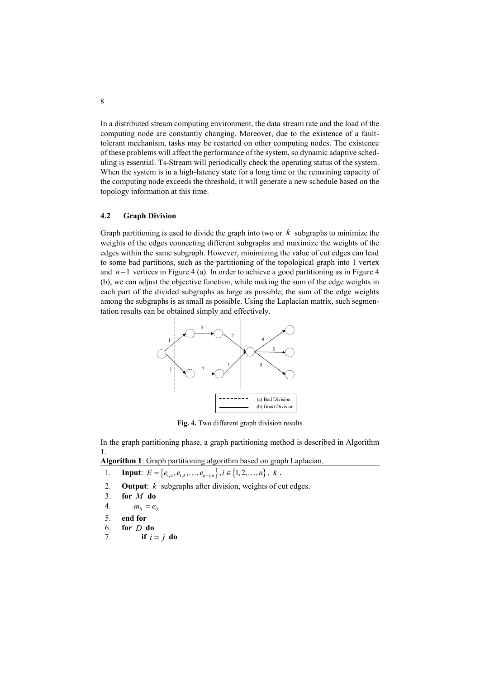In a distributed stream computing environment, the data stream rate and the load of the computing node are constantly changing. Moreover, due to the existence of a faulttolerant mechanism, tasks may be restarted on other computing nodes. The existence of these problems will affect the performance of the system, so dynamic adaptive scheduling is essential. Ts-Stream will periodically check the operating status of the system. When the system is in a high-latency state for a long time or the remaining capacity of the computing node exceeds the threshold, it will generate a new schedule based on the topology information at this time.

# **4.2 Graph Division**

Graph partitioning is used to divide the graph into two or *k* subgraphs to minimize the weights of the edges connecting different subgraphs and maximize the weights of the edges within the same subgraph. However, minimizing the value of cut edges can lead to some bad partitions, such as the partitioning of the topological graph into 1 vertex and  $n-1$  vertices in Figure 4 (a). In order to achieve a good partitioning as in Figure 4 (b), we can adjust the objective function, while making the sum of the edge weights in each part of the divided subgraphs as large as possible, the sum of the edge weights among the subgraphs is as small as possible. Using the Laplacian matrix, such segmentation results can be obtained simply and effectively.



**Fig. 4.** Two different graph division results

In the graph partitioning phase, a graph partitioning method is described in Algorithm 1.

**Algorithm 1**: Graph partitioning algorithm based on graph Laplacian.<br>1. **Input**:  $E = \{e_{1,2}, e_{1,3}, \dots, e_{n-i,n}\}, i \in \{1, 2, \dots, n\}, k$ .

1. **Input:** 
$$
E = \{e_{1,2}, e_{1,3}, \ldots, e_{n-i,n}\}, i \in \{1, 2, \ldots, n\}, k
$$
.

- 2. Output:  $k$  subgraphs after division, weights of cut edges.
- 3. **for** *M* **do**
- 4.  $m_{ij} = e_{ij}$
- 5. **end for**
- 6. **for** *D* **do**
- 7. **if**  $i = j$  do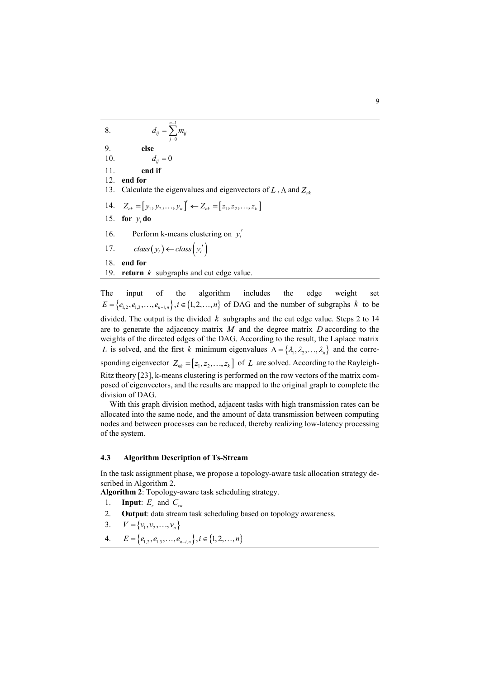| 8.  | $d_{ij} = \sum_{j=0}^{n-1} m_{ij}$                                               |
|-----|----------------------------------------------------------------------------------|
| 9.  | else                                                                             |
| 10. | $d_{ii} = 0$                                                                     |
| 11. | end if                                                                           |
| 12. | end for                                                                          |
|     | 13. Calculate the eigenvalues and eigenvectors of L, $\Lambda$ and $Z_{nk}$      |
|     | 14. $Z_{nk} = [y_1, y_2, \dots, y_n] \leftarrow Z_{nk} = [z_1, z_2, \dots, z_k]$ |
|     | 15. for $y_i$ do                                                                 |
|     | 16. Perform k-means clustering on $y_i'$                                         |
|     | 17. $class(y_i) \leftarrow class(y'_i)$                                          |
| 18. | end for                                                                          |
|     | 19. <b>return</b> $k$ subgraphs and cut edge value.                              |
| ורד |                                                                                  |

The input of the algorithm includes the edge weight set  $E = \{e_{1,2}, e_{1,3}, \dots, e_{n-i,n}\}, i \in \{1, 2, \dots, n\}$  of DAG and the number of subgraphs k to be divided. The output is the divided *k* subgraphs and the cut edge value. Steps 2 to 14 are to generate the adjacency matrix *M* and the degree matrix *D* according to the weights of the directed edges of the DAG. According to the result, the Laplace matrix L is solved, and the first k minimum eigenvalues  $\Lambda = \{\lambda_1, \lambda_2, ..., \lambda_n\}$  and the corresponding eigenvector  $Z_{nk} = [z_1, z_2, \dots, z_k]$  of L are solved. According to the Rayleigh-Ritz theory [23], k-means clustering is performed on the row vectors of the matrix composed of eigenvectors, and the results are mapped to the original graph to complete the division of DAG.

With this graph division method, adjacent tasks with high transmission rates can be allocated into the same node, and the amount of data transmission between computing nodes and between processes can be reduced, thereby realizing low-latency processing of the system.

#### **4.3 Algorithm Description of Ts-Stream**

In the task assignment phase, we propose a topology-aware task allocation strategy described in Algorithm 2.

**Algorithm 2**: Topology-aware task scheduling strategy.

- 1. **Input**:  $E_r$  and  $C_{cn}$
- 2. **Output**: data stream task scheduling based on topology awareness.
- 3.  $V = \{v_1, v_2, \ldots, v_n\}$
- 4.  $E = \{e_{1,2}, e_{1,3}, \ldots, e_{n-i,n}\}, i \in \{1,2,\ldots,n\}$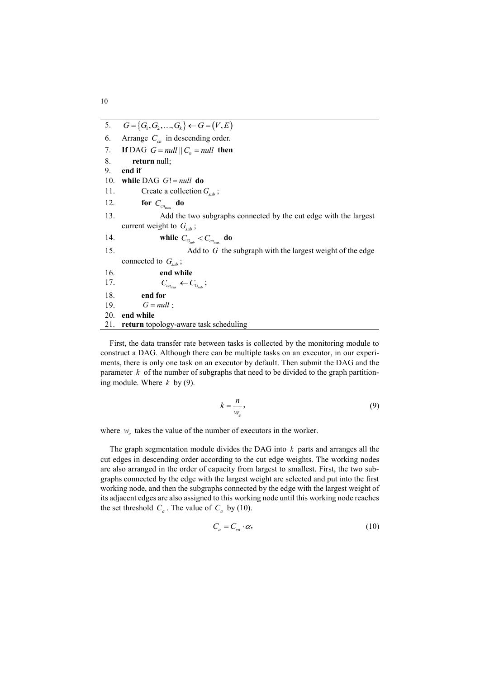5.  $G = \{G_1, G_2, \ldots, G_k\} \leftarrow G = (V, E)$ 6. Arrange  $C_{cn}$  in descending order. 7. **If** DAG  $G = null \parallel C_n = null$  then 8. **return** null; 9. **end if** 10. while DAG  $G! = null$  do 11. Create a collection  $G_{sub}$ ; 12. **for**  $C_{cn_{\max}}$  **do** 13. Add the two subgraphs connected by the cut edge with the largest current weight to  $G_{sub}$ ; 14. **while**  $C_{G_{sub}} < C_{c n_{max}}$  do 15. Add to G the subgraph with the largest weight of the edge connected to *Gsub* ; 16. **end while** 17.  $C_{\text{max}} \leftarrow C_{G_{\text{sub}}}$ ; 18. **end for** 19.  $G = null$ ; 20. **end while** 21. **return** topology-aware task scheduling

First, the data transfer rate between tasks is collected by the monitoring module to construct a DAG. Although there can be multiple tasks on an executor, in our experiments, there is only one task on an executor by default. Then submit the DAG and the parameter *k* of the number of subgraphs that need to be divided to the graph partitioning module. Where *k* by (9).

$$
k = \frac{n}{w_e},\tag{9}
$$

where  $w_e$  takes the value of the number of executors in the worker.

The graph segmentation module divides the DAG into *k* parts and arranges all the cut edges in descending order according to the cut edge weights. The working nodes are also arranged in the order of capacity from largest to smallest. First, the two subgraphs connected by the edge with the largest weight are selected and put into the first working node, and then the subgraphs connected by the edge with the largest weight of its adjacent edges are also assigned to this working node until this working node reaches the set threshold  $C_a$ . The value of  $C_a$  by (10).

$$
C_a = C_{cn} \cdot \alpha,\tag{10}
$$

10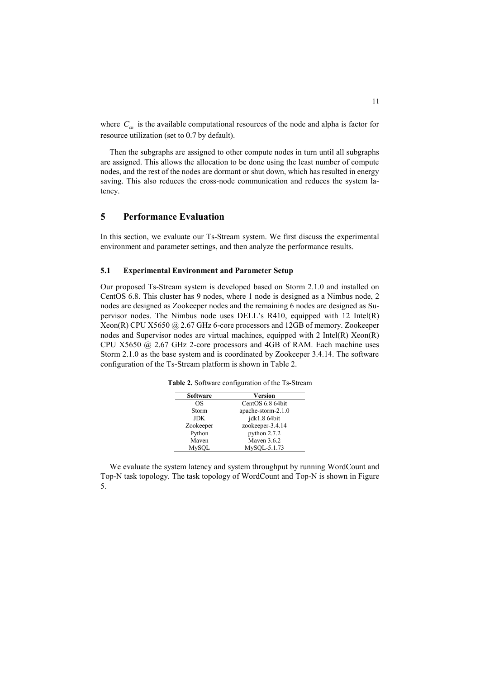where  $C_{cn}$  is the available computational resources of the node and alpha is factor for resource utilization (set to 0.7 by default).

Then the subgraphs are assigned to other compute nodes in turn until all subgraphs are assigned. This allows the allocation to be done using the least number of compute nodes, and the rest of the nodes are dormant or shut down, which has resulted in energy saving. This also reduces the cross-node communication and reduces the system latency.

# **5 Performance Evaluation**

In this section, we evaluate our Ts-Stream system. We first discuss the experimental environment and parameter settings, and then analyze the performance results.

#### **5.1 Experimental Environment and Parameter Setup**

Our proposed Ts-Stream system is developed based on Storm 2.1.0 and installed on CentOS 6.8. This cluster has 9 nodes, where 1 node is designed as a Nimbus node, 2 nodes are designed as Zookeeper nodes and the remaining 6 nodes are designed as Supervisor nodes. The Nimbus node uses DELL's R410, equipped with 12 Intel(R) Xeon(R) CPU X5650 @ 2.67 GHz 6-core processors and 12GB of memory. Zookeeper nodes and Supervisor nodes are virtual machines, equipped with 2 Intel(R) Xeon(R) CPU X5650 @ 2.67 GHz 2-core processors and 4GB of RAM. Each machine uses Storm 2.1.0 as the base system and is coordinated by Zookeeper 3.4.14. The software configuration of the Ts-Stream platform is shown in Table 2.

**Table 2.** Software configuration of the Ts-Stream

| <b>Version</b>     |  |  |  |  |
|--------------------|--|--|--|--|
| CentOS 6.8 64bit   |  |  |  |  |
| apache-storm-2.1.0 |  |  |  |  |
| jdk1.8 64bit       |  |  |  |  |
| zookeeper-3.4.14   |  |  |  |  |
| python 2.7.2       |  |  |  |  |
| Mayen 3.6.2        |  |  |  |  |
| MySQL-5.1.73       |  |  |  |  |
|                    |  |  |  |  |

We evaluate the system latency and system throughput by running WordCount and Top-N task topology. The task topology of WordCount and Top-N is shown in Figure 5.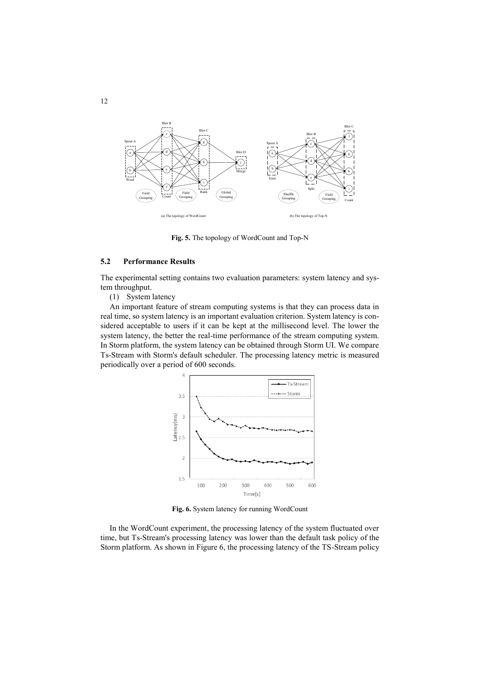

**Fig. 5.** The topology of WordCount and Top-N

### **5.2 Performance Results**

The experimental setting contains two evaluation parameters: system latency and system throughput.

(1) System latency

An important feature of stream computing systems is that they can process data in real time, so system latency is an important evaluation criterion. System latency is considered acceptable to users if it can be kept at the millisecond level. The lower the system latency, the better the real-time performance of the stream computing system. In Storm platform, the system latency can be obtained through Storm UI. We compare Ts-Stream with Storm's default scheduler. The processing latency metric is measured periodically over a period of 600 seconds.



**Fig. 6.** System latency for running WordCount

In the WordCount experiment, the processing latency of the system fluctuated over time, but Ts-Stream's processing latency was lower than the default task policy of the Storm platform. As shown in Figure 6, the processing latency of the TS-Stream policy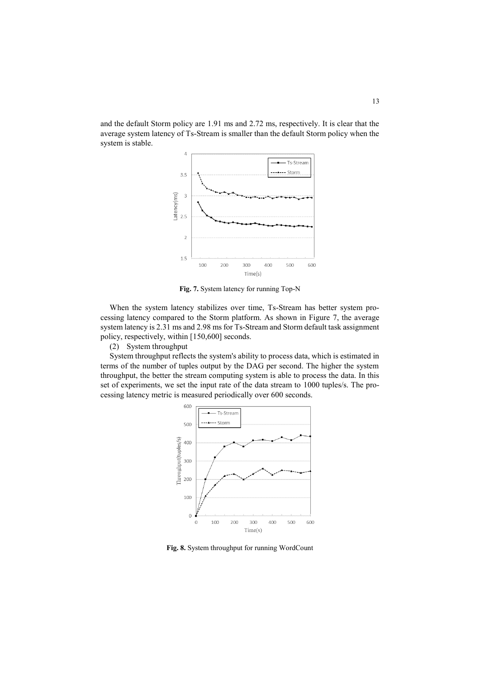

and the default Storm policy are 1.91 ms and 2.72 ms, respectively. It is clear that the average system latency of Ts-Stream is smaller than the default Storm policy when the system is stable.

**Fig. 7.** System latency for running Top-N

When the system latency stabilizes over time, Ts-Stream has better system processing latency compared to the Storm platform. As shown in Figure 7, the average system latency is 2.31 ms and 2.98 ms for Ts-Stream and Storm default task assignment policy, respectively, within [150,600] seconds.

(2) System throughput

System throughput reflects the system's ability to process data, which is estimated in terms of the number of tuples output by the DAG per second. The higher the system throughput, the better the stream computing system is able to process the data. In this set of experiments, we set the input rate of the data stream to 1000 tuples/s. The processing latency metric is measured periodically over 600 seconds.



**Fig. 8.** System throughput for running WordCount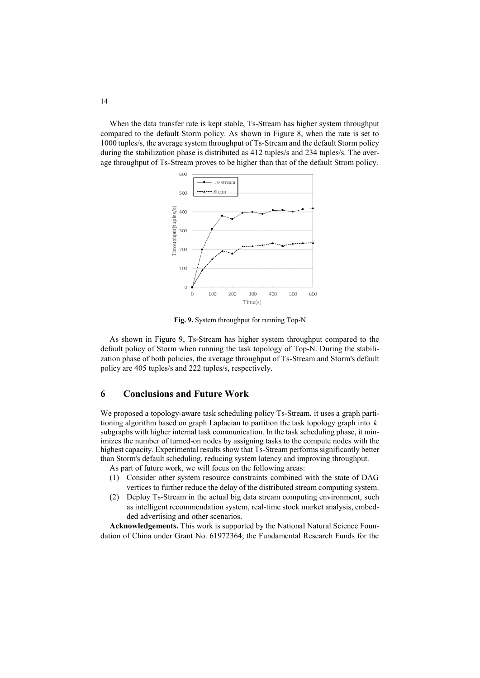When the data transfer rate is kept stable, Ts-Stream has higher system throughput compared to the default Storm policy. As shown in Figure 8, when the rate is set to 1000 tuples/s, the average system throughput of Ts-Stream and the default Storm policy during the stabilization phase is distributed as 412 tuples/s and 234 tuples/s. The average throughput of Ts-Stream proves to be higher than that of the default Strom policy.



**Fig. 9.** System throughput for running Top-N

As shown in Figure 9, Ts-Stream has higher system throughput compared to the default policy of Storm when running the task topology of Top-N. During the stabilization phase of both policies, the average throughput of Ts-Stream and Storm's default policy are 405 tuples/s and 222 tuples/s, respectively.

# **6 Conclusions and Future Work**

We proposed a topology-aware task scheduling policy Ts-Stream. it uses a graph partitioning algorithm based on graph Laplacian to partition the task topology graph into *k* subgraphs with higher internal task communication. In the task scheduling phase, it minimizes the number of turned-on nodes by assigning tasks to the compute nodes with the highest capacity. Experimental results show that Ts-Stream performs significantly better than Storm's default scheduling, reducing system latency and improving throughput.

As part of future work, we will focus on the following areas:

- (1) Consider other system resource constraints combined with the state of DAG vertices to further reduce the delay of the distributed stream computing system.
- (2) Deploy Ts-Stream in the actual big data stream computing environment, such as intelligent recommendation system, real-time stock market analysis, embedded advertising and other scenarios.

**Acknowledgements.** This work is supported by the National Natural Science Foundation of China under Grant No. 61972364; the Fundamental Research Funds for the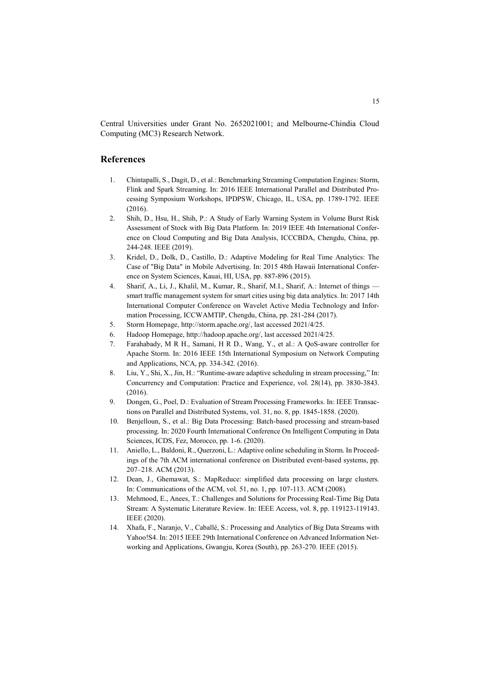Central Universities under Grant No. 2652021001; and Melbourne-Chindia Cloud Computing (MC3) Research Network.

# **References**

- 1. Chintapalli, S., Dagit[, D., e](https://ieeexplore.ieee.org/author/38468175100)t al.: Benchmarking Streaming Computation Engines: Storm, Flink and Spark Streaming. In: 2016 IEEE International Parallel and Distributed Processing Symposium Workshops, IPDPSW, Chicago, IL, USA, pp. 1789-1792. IEEE (2016).
- 2. Shih, D., Hsu, H., Shih, P.: A Study of Early Warning System in Volume Burst Risk Assessment of Stock with Big Data Platform. In: 2019 IEEE 4th International Conference on Cloud Computing and Big Data Analysis, ICCCBDA, Chengdu, China, pp. 244-248. IEEE (2019).
- 3. Kridel, D., Dolk, D., Castillo, D.: Adaptive Modeling for Real Time Analytics: The Case of "Big Data" in Mobile Advertising. In: 2015 48th Hawaii International Conference on System Sciences, Kauai, HI, USA, pp. 887-896 (2015).
- 4. Sharif, [A., Li, J., Khalil, M., Kumar, R., Sharif, M.I., Sharif, A.: Internet of things](https://ieeexplore.ieee.org/document/8301496)  [smart traffic management system for smart cities using big data analytics. In: 2017 14th](https://ieeexplore.ieee.org/document/8301496)  [International Computer Conference on Wavelet Active Media Technology and Infor](https://ieeexplore.ieee.org/document/8301496)[mation Processing, ICCWAMTIP, Chengdu, China, pp. 281-284 \(2017\).](https://ieeexplore.ieee.org/document/8301496)
- 5. Storm Homepage, [http://storm.apache.org/,](http://storm.apache.org/) last accessed 2021/4/25.
- 6. Hadoop Homepage, [http://hadoop.apache.org/,](http://hadoop.apache.org/) last accessed 2021/4/25.
- 7. Farahabady, M R H., Samani, H R D., Wang, Y., et al.: A QoS-aware controller for Apache Storm. In: 2016 IEEE 15th International Symposium on Network Computing and Applications, NCA, pp. 334-342. (2016).
- 8. Liu, Y., Shi, X., Jin, H.: "Runtime-aware adaptive scheduling in stream processing," In: Concurrency and Computation: Practice and Experience, vol. 28(14), pp. 3830-3843. (2016).
- 9. Dongen, G., Poel, D.: Evaluation of Stream Processing Frameworks. In: IEEE Transactions on Parallel and Distributed Systems, vol. 31, no. 8, pp. 1845-1858. (2020).
- 10. Benjelloun, S., et al.: Big Data Processing: Batch-based processing and stream-based processing. In: 2020 Fourth International Conference On Intelligent Computing in Data Sciences, ICDS, Fez, Morocco, pp. 1-6. (2020).
- 11. Aniello, L., Baldoni, R., Querzoni, L.: Adaptive online scheduling in Storm. In Proceedings of the 7th ACM international conference on Distributed event-based systems, pp. 207–218. ACM (2013).
- 12. Dean, J., Ghemawat, S.: MapReduce: simplified data processing on large clusters. In: Communications of the ACM, vol. 51, no. 1, pp. 107-113. ACM (2008).
- 13. Mehmood, E., Anees, T.: Challenges and Solutions for Processing Real-Time Big Data Stream: A Systematic Literature Review. In: IEEE Access, vol. 8, pp. 119123-119143. IEEE (2020).
- 14. Xhafa, F., Naranjo, V., Caballé, S.: Processing and Analytics of Big Data Streams with Yahoo!S4. In: 2015 IEEE 29th International Conference on Advanced Information Networking and Applications, Gwangju, Korea (South), pp. 263-270. IEEE (2015).